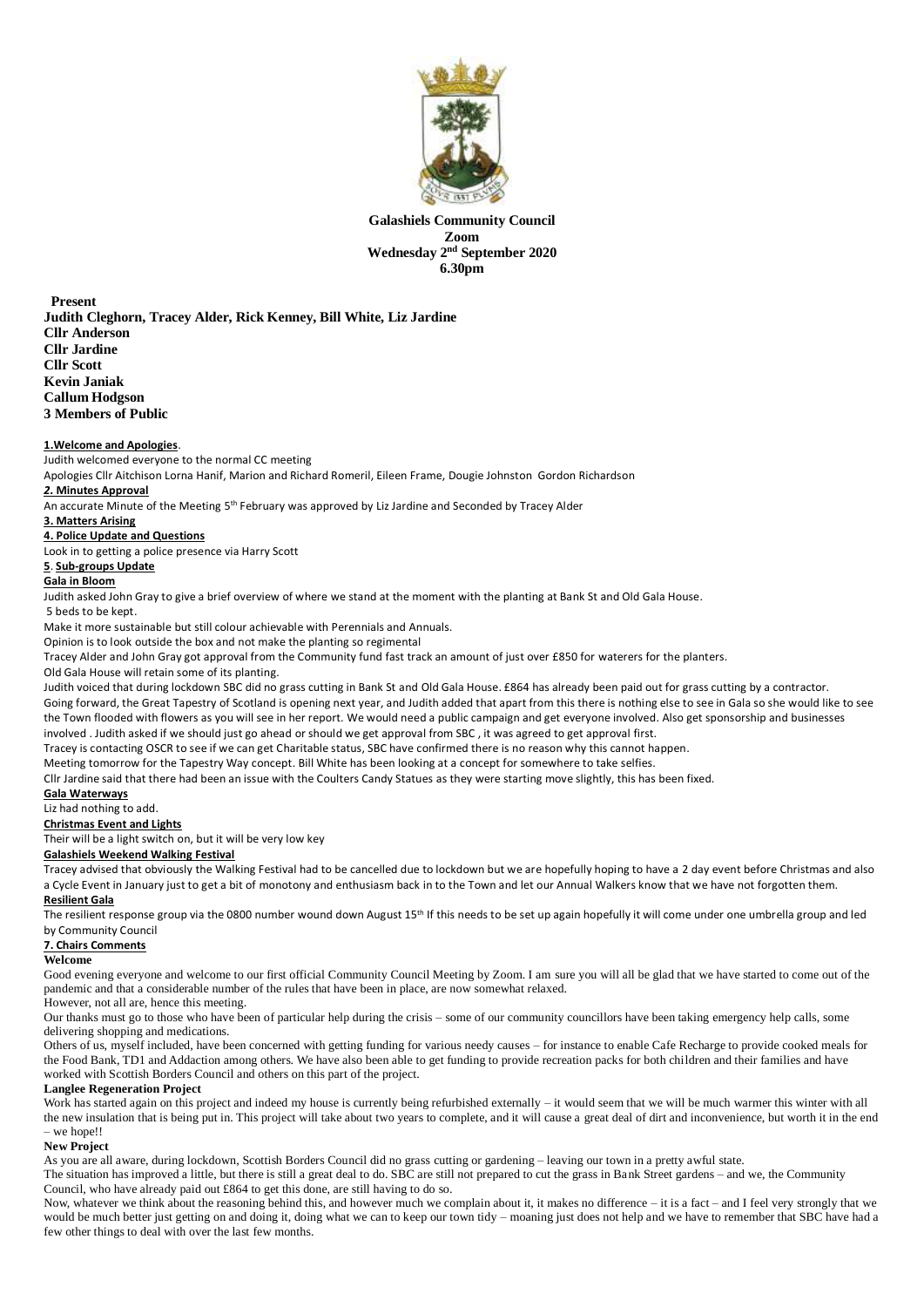

**Galashiels Community Council Zoom Wednesday 2 nd September 2020 6.30pm** 

**Present Judith Cleghorn, Tracey Alder, Rick Kenney, Bill White, Liz Jardine Cllr Anderson Cllr Jardine Cllr Scott Kevin Janiak Callum Hodgson 3 Members of Public**

#### **1.Welcome and Apologies**.

Judith welcomed everyone to the normal CC meeting

Apologies Cllr Aitchison Lorna Hanif, Marion and Richard Romeril, Eileen Frame, Dougie Johnston Gordon Richardson

*2.* **Minutes Approval** An accurate Minute of the Meeting 5<sup>th</sup> February was approved by Liz Jardine and Seconded by Tracey Alder

# **3. Matters Arising**

**4. Police Update and Questions**

Look in to getting a police presence via Harry Scott

#### **5**. **Sub-groups Update**

#### **Gala in Bloom**

Judith asked John Gray to give a brief overview of where we stand at the moment with the planting at Bank St and Old Gala House.

#### 5 beds to be kept.

Make it more sustainable but still colour achievable with Perennials and Annuals.

Opinion is to look outside the box and not make the planting so regimental

Tracey Alder and John Gray got approval from the Community fund fast track an amount of just over £850 for waterers for the planters.

## Old Gala House will retain some of its planting.

Judith voiced that during lockdown SBC did no grass cutting in Bank St and Old Gala House. £864 has already been paid out for grass cutting by a contractor.

Going forward, the Great Tapestry of Scotland is opening next year, and Judith added that apart from this there is nothing else to see in Gala so she would like to see the Town flooded with flowers as you will see in her report. We would need a public campaign and get everyone involved. Also get sponsorship and businesses involved . Judith asked if we should just go ahead or should we get approval from SBC , it was agreed to get approval first.

Tracey is contacting OSCR to see if we can get Charitable status, SBC have confirmed there is no reason why this cannot happen.

Meeting tomorrow for the Tapestry Way concept. Bill White has been looking at a concept for somewhere to take selfies.

Cllr Jardine said that there had been an issue with the Coulters Candy Statues as they were starting move slightly, this has been fixed.

# **Gala Waterways**

Liz had nothing to add.

# **Christmas Event and Lights**

Their will be a light switch on, but it will be very low key

# **Galashiels Weekend Walking Festival**

Tracey advised that obviously the Walking Festival had to be cancelled due to lockdown but we are hopefully hoping to have a 2 day event before Christmas and also a Cycle Event in January just to get a bit of monotony and enthusiasm back in to the Town and let our Annual Walkers know that we have not forgotten them.

## **Resilient Gala**

The resilient response group via the 0800 number wound down August 15<sup>th</sup> If this needs to be set up again hopefully it will come under one umbrella group and led by Community Council

### **7. Chairs Comments**

#### **Welcome**

Good evening everyone and welcome to our first official Community Council Meeting by Zoom. I am sure you will all be glad that we have started to come out of the pandemic and that a considerable number of the rules that have been in place, are now somewhat relaxed.

## However, not all are, hence this meeting.

Our thanks must go to those who have been of particular help during the crisis – some of our community councillors have been taking emergency help calls, some delivering shopping and medications.

Others of us, myself included, have been concerned with getting funding for various needy causes – for instance to enable Cafe Recharge to provide cooked meals for the Food Bank, TD1 and Addaction among others. We have also been able to get funding to provide recreation packs for both children and their families and have worked with Scottish Borders Council and others on this part of the project.

## **Langlee Regeneration Project**

Work has started again on this project and indeed my house is currently being refurbished externally – it would seem that we will be much warmer this winter with all the new insulation that is being put in. This project will take about two years to complete, and it will cause a great deal of dirt and inconvenience, but worth it in the end – we hope!!

## **New Project**

As you are all aware, during lockdown, Scottish Borders Council did no grass cutting or gardening – leaving our town in a pretty awful state.

The situation has improved a little, but there is still a great deal to do. SBC are still not prepared to cut the grass in Bank Street gardens – and we, the Community Council, who have already paid out £864 to get this done, are still having to do so.

Now, whatever we think about the reasoning behind this, and however much we complain about it, it makes no difference – it is a fact – and I feel very strongly that we would be much better just getting on and doing it, doing what we can to keep our town tidy – moaning just does not help and we have to remember that SBC have had a few other things to deal with over the last few months.